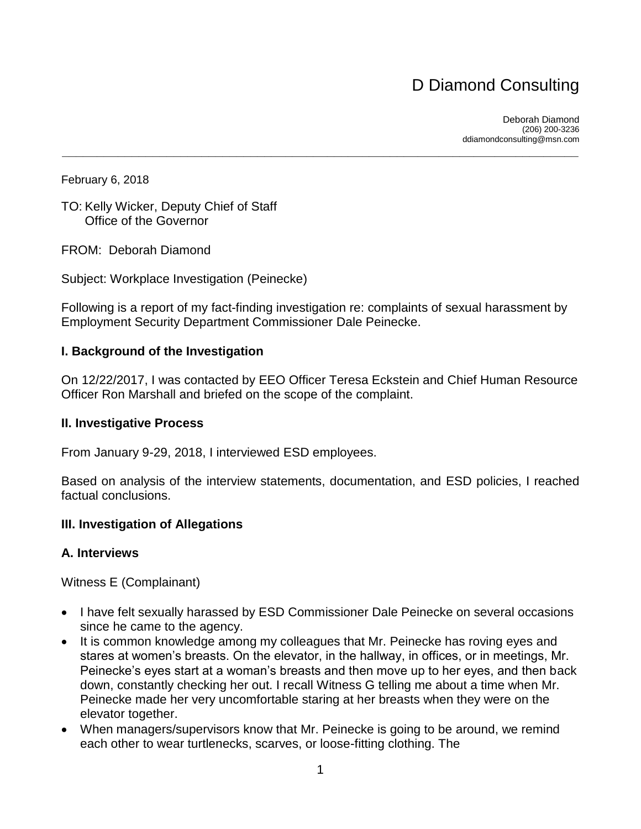# D Diamond Consulting

Deborah Diamond (206) 200-3236 ddiamondconsulting@msn.com

February 6, 2018

TO: Kelly Wicker, Deputy Chief of Staff Office of the Governor

FROM: Deborah Diamond

Subject: Workplace Investigation (Peinecke)

Following is a report of my fact-finding investigation re: complaints of sexual harassment by Employment Security Department Commissioner Dale Peinecke.

 **\_\_\_\_\_\_\_\_\_\_\_\_\_\_\_\_\_\_\_\_\_\_\_\_\_\_\_\_\_\_\_\_\_\_\_\_\_\_\_\_\_\_\_\_\_\_\_\_\_\_\_\_\_\_\_\_\_\_\_\_\_\_\_\_\_\_\_\_\_\_\_\_\_\_**

#### **I. Background of the Investigation**

On 12/22/2017, I was contacted by EEO Officer Teresa Eckstein and Chief Human Resource Officer Ron Marshall and briefed on the scope of the complaint.

#### **II. Investigative Process**

From January 9-29, 2018, I interviewed ESD employees.

Based on analysis of the interview statements, documentation, and ESD policies, I reached factual conclusions.

#### **III. Investigation of Allegations**

#### **A. Interviews**

Witness E (Complainant)

- I have felt sexually harassed by ESD Commissioner Dale Peinecke on several occasions since he came to the agency.
- It is common knowledge among my colleagues that Mr. Peinecke has roving eyes and stares at women's breasts. On the elevator, in the hallway, in offices, or in meetings, Mr. Peinecke's eyes start at a woman's breasts and then move up to her eyes, and then back down, constantly checking her out. I recall Witness G telling me about a time when Mr. Peinecke made her very uncomfortable staring at her breasts when they were on the elevator together.
- When managers/supervisors know that Mr. Peinecke is going to be around, we remind each other to wear turtlenecks, scarves, or loose-fitting clothing. The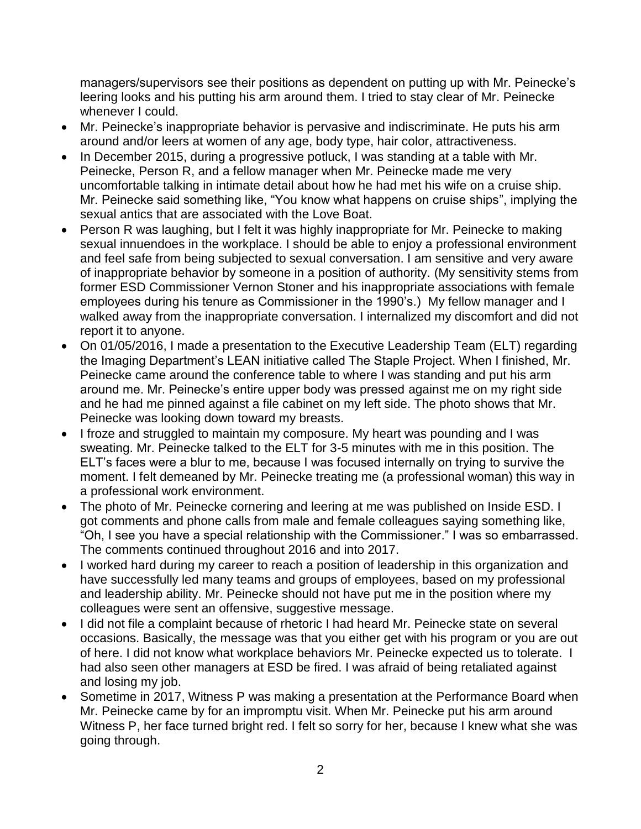managers/supervisors see their positions as dependent on putting up with Mr. Peinecke's leering looks and his putting his arm around them. I tried to stay clear of Mr. Peinecke whenever I could.

- Mr. Peinecke's inappropriate behavior is pervasive and indiscriminate. He puts his arm around and/or leers at women of any age, body type, hair color, attractiveness.
- In December 2015, during a progressive potluck, I was standing at a table with Mr. Peinecke, Person R, and a fellow manager when Mr. Peinecke made me very uncomfortable talking in intimate detail about how he had met his wife on a cruise ship. Mr. Peinecke said something like, "You know what happens on cruise ships", implying the sexual antics that are associated with the Love Boat.
- Person R was laughing, but I felt it was highly inappropriate for Mr. Peinecke to making sexual innuendoes in the workplace. I should be able to enjoy a professional environment and feel safe from being subjected to sexual conversation. I am sensitive and very aware of inappropriate behavior by someone in a position of authority. (My sensitivity stems from former ESD Commissioner Vernon Stoner and his inappropriate associations with female employees during his tenure as Commissioner in the 1990's.) My fellow manager and I walked away from the inappropriate conversation. I internalized my discomfort and did not report it to anyone.
- On 01/05/2016, I made a presentation to the Executive Leadership Team (ELT) regarding the Imaging Department's LEAN initiative called The Staple Project. When I finished, Mr. Peinecke came around the conference table to where I was standing and put his arm around me. Mr. Peinecke's entire upper body was pressed against me on my right side and he had me pinned against a file cabinet on my left side. The photo shows that Mr. Peinecke was looking down toward my breasts.
- I froze and struggled to maintain my composure. My heart was pounding and I was sweating. Mr. Peinecke talked to the ELT for 3-5 minutes with me in this position. The ELT's faces were a blur to me, because I was focused internally on trying to survive the moment. I felt demeaned by Mr. Peinecke treating me (a professional woman) this way in a professional work environment.
- The photo of Mr. Peinecke cornering and leering at me was published on Inside ESD. I got comments and phone calls from male and female colleagues saying something like, "Oh, I see you have a special relationship with the Commissioner." I was so embarrassed. The comments continued throughout 2016 and into 2017.
- I worked hard during my career to reach a position of leadership in this organization and have successfully led many teams and groups of employees, based on my professional and leadership ability. Mr. Peinecke should not have put me in the position where my colleagues were sent an offensive, suggestive message.
- I did not file a complaint because of rhetoric I had heard Mr. Peinecke state on several occasions. Basically, the message was that you either get with his program or you are out of here. I did not know what workplace behaviors Mr. Peinecke expected us to tolerate. I had also seen other managers at ESD be fired. I was afraid of being retaliated against and losing my job.
- Sometime in 2017, Witness P was making a presentation at the Performance Board when Mr. Peinecke came by for an impromptu visit. When Mr. Peinecke put his arm around Witness P, her face turned bright red. I felt so sorry for her, because I knew what she was going through.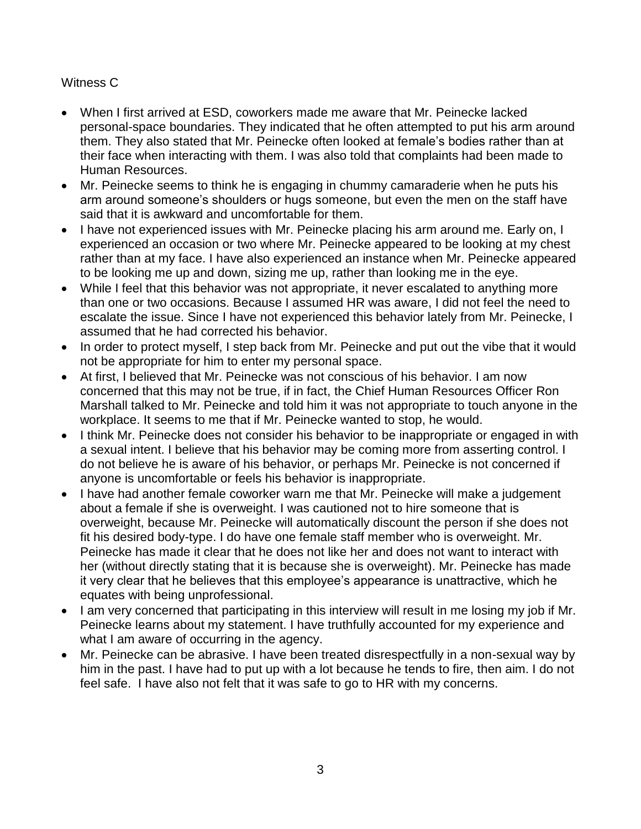# Witness C

- When I first arrived at ESD, coworkers made me aware that Mr. Peinecke lacked personal-space boundaries. They indicated that he often attempted to put his arm around them. They also stated that Mr. Peinecke often looked at female's bodies rather than at their face when interacting with them. I was also told that complaints had been made to Human Resources.
- Mr. Peinecke seems to think he is engaging in chummy camaraderie when he puts his arm around someone's shoulders or hugs someone, but even the men on the staff have said that it is awkward and uncomfortable for them.
- I have not experienced issues with Mr. Peinecke placing his arm around me. Early on, I experienced an occasion or two where Mr. Peinecke appeared to be looking at my chest rather than at my face. I have also experienced an instance when Mr. Peinecke appeared to be looking me up and down, sizing me up, rather than looking me in the eye.
- While I feel that this behavior was not appropriate, it never escalated to anything more than one or two occasions. Because I assumed HR was aware, I did not feel the need to escalate the issue. Since I have not experienced this behavior lately from Mr. Peinecke, I assumed that he had corrected his behavior.
- In order to protect myself, I step back from Mr. Peinecke and put out the vibe that it would not be appropriate for him to enter my personal space.
- At first, I believed that Mr. Peinecke was not conscious of his behavior. I am now concerned that this may not be true, if in fact, the Chief Human Resources Officer Ron Marshall talked to Mr. Peinecke and told him it was not appropriate to touch anyone in the workplace. It seems to me that if Mr. Peinecke wanted to stop, he would.
- I think Mr. Peinecke does not consider his behavior to be inappropriate or engaged in with a sexual intent. I believe that his behavior may be coming more from asserting control. I do not believe he is aware of his behavior, or perhaps Mr. Peinecke is not concerned if anyone is uncomfortable or feels his behavior is inappropriate.
- I have had another female coworker warn me that Mr. Peinecke will make a judgement about a female if she is overweight. I was cautioned not to hire someone that is overweight, because Mr. Peinecke will automatically discount the person if she does not fit his desired body-type. I do have one female staff member who is overweight. Mr. Peinecke has made it clear that he does not like her and does not want to interact with her (without directly stating that it is because she is overweight). Mr. Peinecke has made it very clear that he believes that this employee's appearance is unattractive, which he equates with being unprofessional.
- I am very concerned that participating in this interview will result in me losing my job if Mr. Peinecke learns about my statement. I have truthfully accounted for my experience and what I am aware of occurring in the agency.
- Mr. Peinecke can be abrasive. I have been treated disrespectfully in a non-sexual way by him in the past. I have had to put up with a lot because he tends to fire, then aim. I do not feel safe. I have also not felt that it was safe to go to HR with my concerns.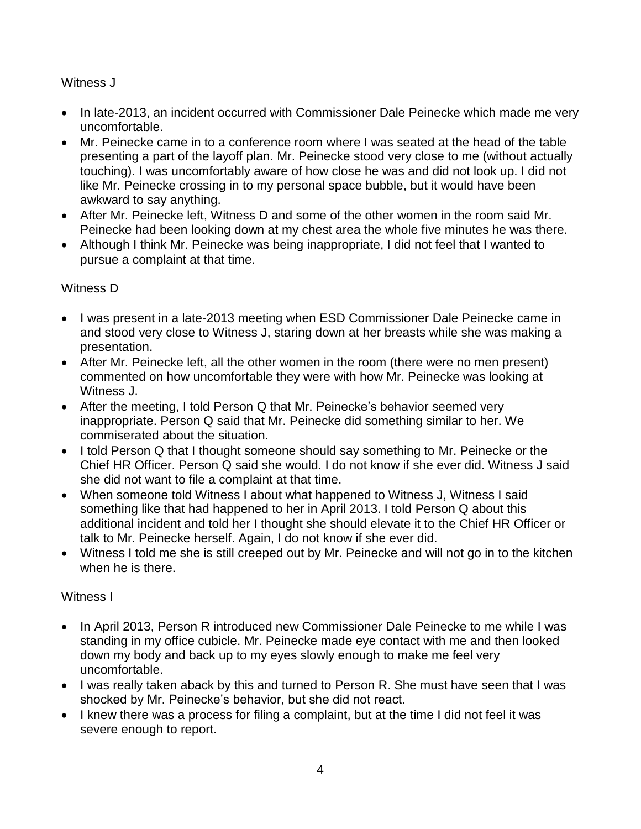# Witness J

- In late-2013, an incident occurred with Commissioner Dale Peinecke which made me very uncomfortable.
- Mr. Peinecke came in to a conference room where I was seated at the head of the table presenting a part of the layoff plan. Mr. Peinecke stood very close to me (without actually touching). I was uncomfortably aware of how close he was and did not look up. I did not like Mr. Peinecke crossing in to my personal space bubble, but it would have been awkward to say anything.
- After Mr. Peinecke left, Witness D and some of the other women in the room said Mr. Peinecke had been looking down at my chest area the whole five minutes he was there.
- Although I think Mr. Peinecke was being inappropriate, I did not feel that I wanted to pursue a complaint at that time.

# Witness D

- I was present in a late-2013 meeting when ESD Commissioner Dale Peinecke came in and stood very close to Witness J, staring down at her breasts while she was making a presentation.
- After Mr. Peinecke left, all the other women in the room (there were no men present) commented on how uncomfortable they were with how Mr. Peinecke was looking at Witness J.
- After the meeting, I told Person Q that Mr. Peinecke's behavior seemed very inappropriate. Person Q said that Mr. Peinecke did something similar to her. We commiserated about the situation.
- I told Person Q that I thought someone should say something to Mr. Peinecke or the Chief HR Officer. Person Q said she would. I do not know if she ever did. Witness J said she did not want to file a complaint at that time.
- When someone told Witness I about what happened to Witness J, Witness I said something like that had happened to her in April 2013. I told Person Q about this additional incident and told her I thought she should elevate it to the Chief HR Officer or talk to Mr. Peinecke herself. Again, I do not know if she ever did.
- Witness I told me she is still creeped out by Mr. Peinecke and will not go in to the kitchen when he is there.

# Witness I

- In April 2013, Person R introduced new Commissioner Dale Peinecke to me while I was standing in my office cubicle. Mr. Peinecke made eye contact with me and then looked down my body and back up to my eyes slowly enough to make me feel very uncomfortable.
- I was really taken aback by this and turned to Person R. She must have seen that I was shocked by Mr. Peinecke's behavior, but she did not react.
- I knew there was a process for filing a complaint, but at the time I did not feel it was severe enough to report.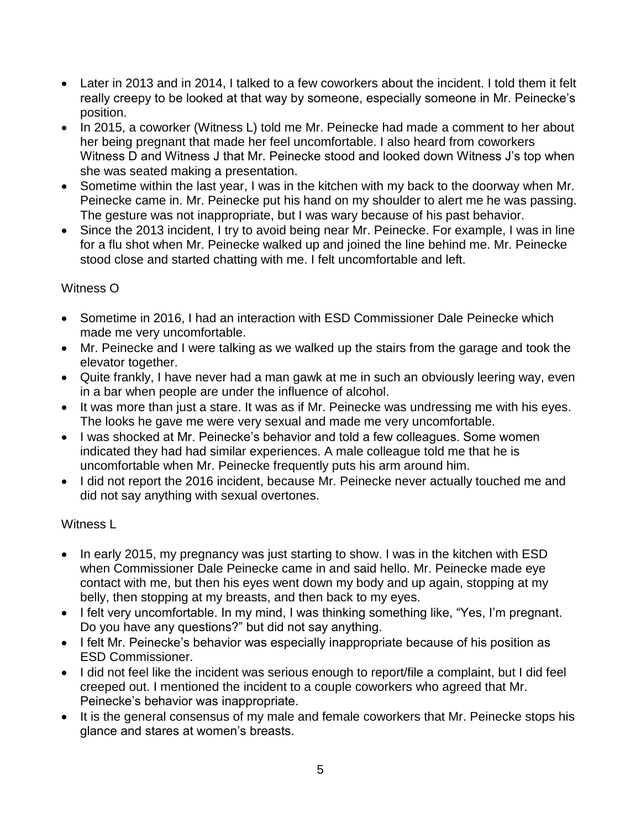- Later in 2013 and in 2014, I talked to a few coworkers about the incident. I told them it felt really creepy to be looked at that way by someone, especially someone in Mr. Peinecke's position.
- In 2015, a coworker (Witness L) told me Mr. Peinecke had made a comment to her about her being pregnant that made her feel uncomfortable. I also heard from coworkers Witness D and Witness J that Mr. Peinecke stood and looked down Witness J's top when she was seated making a presentation.
- Sometime within the last year, I was in the kitchen with my back to the doorway when Mr. Peinecke came in. Mr. Peinecke put his hand on my shoulder to alert me he was passing. The gesture was not inappropriate, but I was wary because of his past behavior.
- Since the 2013 incident, I try to avoid being near Mr. Peinecke. For example, I was in line for a flu shot when Mr. Peinecke walked up and joined the line behind me. Mr. Peinecke stood close and started chatting with me. I felt uncomfortable and left.

# Witness O

- Sometime in 2016, I had an interaction with ESD Commissioner Dale Peinecke which made me very uncomfortable.
- Mr. Peinecke and I were talking as we walked up the stairs from the garage and took the elevator together.
- Quite frankly, I have never had a man gawk at me in such an obviously leering way, even in a bar when people are under the influence of alcohol.
- It was more than just a stare. It was as if Mr. Peinecke was undressing me with his eyes. The looks he gave me were very sexual and made me very uncomfortable.
- I was shocked at Mr. Peinecke's behavior and told a few colleagues. Some women indicated they had had similar experiences. A male colleague told me that he is uncomfortable when Mr. Peinecke frequently puts his arm around him.
- I did not report the 2016 incident, because Mr. Peinecke never actually touched me and did not say anything with sexual overtones.

# Witness L

- In early 2015, my pregnancy was just starting to show. I was in the kitchen with ESD when Commissioner Dale Peinecke came in and said hello. Mr. Peinecke made eye contact with me, but then his eyes went down my body and up again, stopping at my belly, then stopping at my breasts, and then back to my eyes.
- I felt very uncomfortable. In my mind, I was thinking something like, "Yes, I'm pregnant. Do you have any questions?" but did not say anything.
- I felt Mr. Peinecke's behavior was especially inappropriate because of his position as ESD Commissioner.
- I did not feel like the incident was serious enough to report/file a complaint, but I did feel creeped out. I mentioned the incident to a couple coworkers who agreed that Mr. Peinecke's behavior was inappropriate.
- It is the general consensus of my male and female coworkers that Mr. Peinecke stops his glance and stares at women's breasts.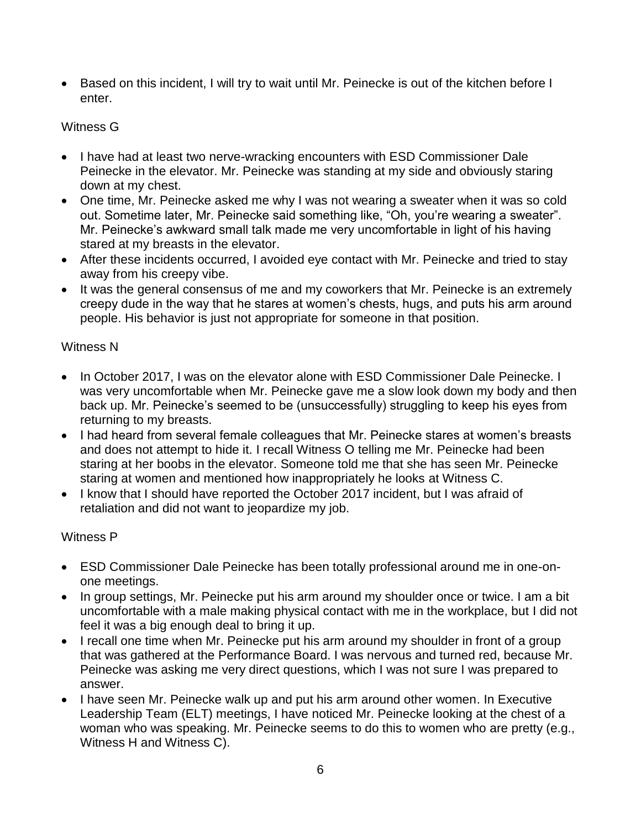Based on this incident, I will try to wait until Mr. Peinecke is out of the kitchen before I enter.

## Witness G

- I have had at least two nerve-wracking encounters with ESD Commissioner Dale Peinecke in the elevator. Mr. Peinecke was standing at my side and obviously staring down at my chest.
- One time, Mr. Peinecke asked me why I was not wearing a sweater when it was so cold out. Sometime later, Mr. Peinecke said something like, "Oh, you're wearing a sweater". Mr. Peinecke's awkward small talk made me very uncomfortable in light of his having stared at my breasts in the elevator.
- After these incidents occurred, I avoided eye contact with Mr. Peinecke and tried to stay away from his creepy vibe.
- It was the general consensus of me and my coworkers that Mr. Peinecke is an extremely creepy dude in the way that he stares at women's chests, hugs, and puts his arm around people. His behavior is just not appropriate for someone in that position.

### Witness N

- In October 2017, I was on the elevator alone with ESD Commissioner Dale Peinecke. I was very uncomfortable when Mr. Peinecke gave me a slow look down my body and then back up. Mr. Peinecke's seemed to be (unsuccessfully) struggling to keep his eyes from returning to my breasts.
- I had heard from several female colleagues that Mr. Peinecke stares at women's breasts and does not attempt to hide it. I recall Witness O telling me Mr. Peinecke had been staring at her boobs in the elevator. Someone told me that she has seen Mr. Peinecke staring at women and mentioned how inappropriately he looks at Witness C.
- I know that I should have reported the October 2017 incident, but I was afraid of retaliation and did not want to jeopardize my job.

# Witness P

- ESD Commissioner Dale Peinecke has been totally professional around me in one-onone meetings.
- In group settings, Mr. Peinecke put his arm around my shoulder once or twice. I am a bit uncomfortable with a male making physical contact with me in the workplace, but I did not feel it was a big enough deal to bring it up.
- I recall one time when Mr. Peinecke put his arm around my shoulder in front of a group that was gathered at the Performance Board. I was nervous and turned red, because Mr. Peinecke was asking me very direct questions, which I was not sure I was prepared to answer.
- I have seen Mr. Peinecke walk up and put his arm around other women. In Executive Leadership Team (ELT) meetings, I have noticed Mr. Peinecke looking at the chest of a woman who was speaking. Mr. Peinecke seems to do this to women who are pretty (e.g., Witness H and Witness C).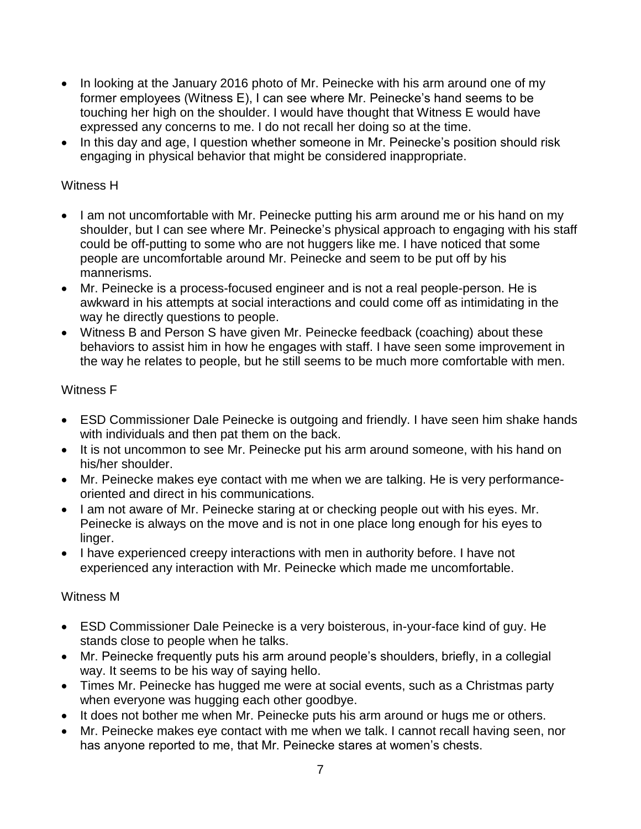- In looking at the January 2016 photo of Mr. Peinecke with his arm around one of my former employees (Witness E), I can see where Mr. Peinecke's hand seems to be touching her high on the shoulder. I would have thought that Witness E would have expressed any concerns to me. I do not recall her doing so at the time.
- In this day and age, I question whether someone in Mr. Peinecke's position should risk engaging in physical behavior that might be considered inappropriate.

# Witness H

- I am not uncomfortable with Mr. Peinecke putting his arm around me or his hand on my shoulder, but I can see where Mr. Peinecke's physical approach to engaging with his staff could be off-putting to some who are not huggers like me. I have noticed that some people are uncomfortable around Mr. Peinecke and seem to be put off by his mannerisms.
- Mr. Peinecke is a process-focused engineer and is not a real people-person. He is awkward in his attempts at social interactions and could come off as intimidating in the way he directly questions to people.
- Witness B and Person S have given Mr. Peinecke feedback (coaching) about these behaviors to assist him in how he engages with staff. I have seen some improvement in the way he relates to people, but he still seems to be much more comfortable with men.

# Witness F

- ESD Commissioner Dale Peinecke is outgoing and friendly. I have seen him shake hands with individuals and then pat them on the back.
- It is not uncommon to see Mr. Peinecke put his arm around someone, with his hand on his/her shoulder.
- Mr. Peinecke makes eye contact with me when we are talking. He is very performanceoriented and direct in his communications.
- I am not aware of Mr. Peinecke staring at or checking people out with his eyes. Mr. Peinecke is always on the move and is not in one place long enough for his eyes to linger.
- I have experienced creepy interactions with men in authority before. I have not experienced any interaction with Mr. Peinecke which made me uncomfortable.

### Witness M

- ESD Commissioner Dale Peinecke is a very boisterous, in-your-face kind of guy. He stands close to people when he talks.
- Mr. Peinecke frequently puts his arm around people's shoulders, briefly, in a collegial way. It seems to be his way of saying hello.
- Times Mr. Peinecke has hugged me were at social events, such as a Christmas party when everyone was hugging each other goodbye.
- It does not bother me when Mr. Peinecke puts his arm around or hugs me or others.
- Mr. Peinecke makes eye contact with me when we talk. I cannot recall having seen, nor has anyone reported to me, that Mr. Peinecke stares at women's chests.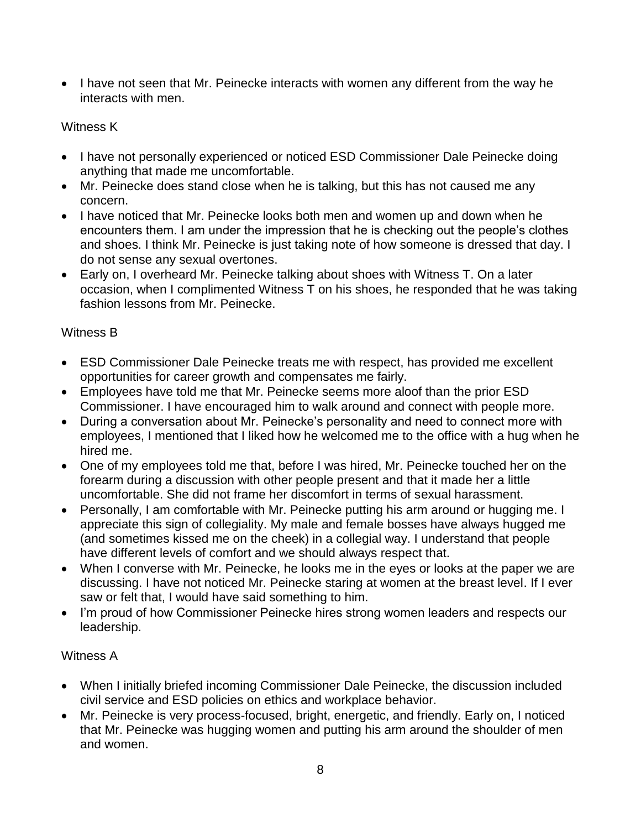• I have not seen that Mr. Peinecke interacts with women any different from the way he interacts with men.

## Witness K

- I have not personally experienced or noticed ESD Commissioner Dale Peinecke doing anything that made me uncomfortable.
- Mr. Peinecke does stand close when he is talking, but this has not caused me any concern.
- I have noticed that Mr. Peinecke looks both men and women up and down when he encounters them. I am under the impression that he is checking out the people's clothes and shoes. I think Mr. Peinecke is just taking note of how someone is dressed that day. I do not sense any sexual overtones.
- Early on, I overheard Mr. Peinecke talking about shoes with Witness T. On a later occasion, when I complimented Witness T on his shoes, he responded that he was taking fashion lessons from Mr. Peinecke.

# Witness B

- ESD Commissioner Dale Peinecke treats me with respect, has provided me excellent opportunities for career growth and compensates me fairly.
- Employees have told me that Mr. Peinecke seems more aloof than the prior ESD Commissioner. I have encouraged him to walk around and connect with people more.
- During a conversation about Mr. Peinecke's personality and need to connect more with employees, I mentioned that I liked how he welcomed me to the office with a hug when he hired me.
- One of my employees told me that, before I was hired, Mr. Peinecke touched her on the forearm during a discussion with other people present and that it made her a little uncomfortable. She did not frame her discomfort in terms of sexual harassment.
- Personally, I am comfortable with Mr. Peinecke putting his arm around or hugging me. I appreciate this sign of collegiality. My male and female bosses have always hugged me (and sometimes kissed me on the cheek) in a collegial way. I understand that people have different levels of comfort and we should always respect that.
- When I converse with Mr. Peinecke, he looks me in the eyes or looks at the paper we are discussing. I have not noticed Mr. Peinecke staring at women at the breast level. If I ever saw or felt that, I would have said something to him.
- I'm proud of how Commissioner Peinecke hires strong women leaders and respects our leadership.

### Witness A

- When I initially briefed incoming Commissioner Dale Peinecke, the discussion included civil service and ESD policies on ethics and workplace behavior.
- Mr. Peinecke is very process-focused, bright, energetic, and friendly. Early on, I noticed that Mr. Peinecke was hugging women and putting his arm around the shoulder of men and women.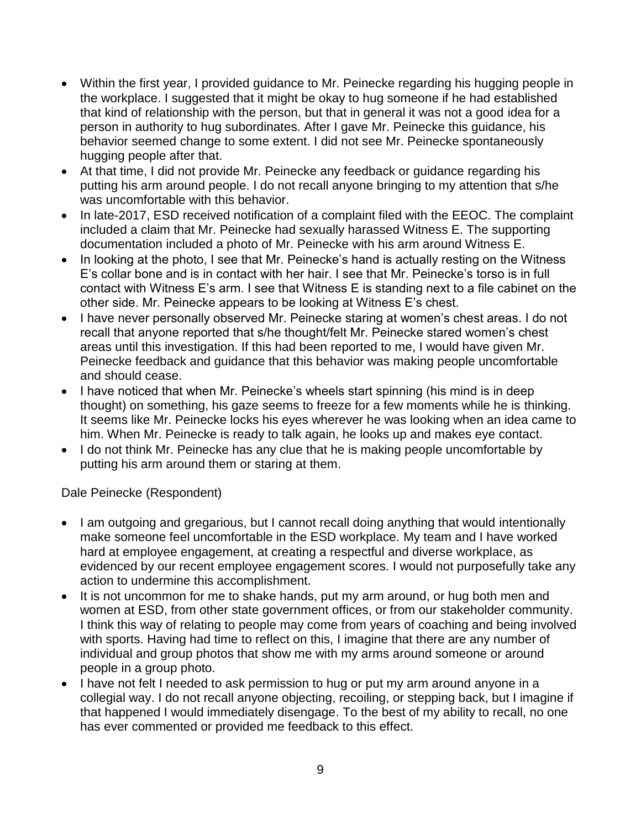- Within the first year, I provided guidance to Mr. Peinecke regarding his hugging people in the workplace. I suggested that it might be okay to hug someone if he had established that kind of relationship with the person, but that in general it was not a good idea for a person in authority to hug subordinates. After I gave Mr. Peinecke this guidance, his behavior seemed change to some extent. I did not see Mr. Peinecke spontaneously hugging people after that.
- At that time, I did not provide Mr. Peinecke any feedback or guidance regarding his putting his arm around people. I do not recall anyone bringing to my attention that s/he was uncomfortable with this behavior.
- In late-2017, ESD received notification of a complaint filed with the EEOC. The complaint included a claim that Mr. Peinecke had sexually harassed Witness E. The supporting documentation included a photo of Mr. Peinecke with his arm around Witness E.
- In looking at the photo, I see that Mr. Peinecke's hand is actually resting on the Witness E's collar bone and is in contact with her hair. I see that Mr. Peinecke's torso is in full contact with Witness E's arm. I see that Witness E is standing next to a file cabinet on the other side. Mr. Peinecke appears to be looking at Witness E's chest.
- I have never personally observed Mr. Peinecke staring at women's chest areas. I do not recall that anyone reported that s/he thought/felt Mr. Peinecke stared women's chest areas until this investigation. If this had been reported to me, I would have given Mr. Peinecke feedback and guidance that this behavior was making people uncomfortable and should cease.
- I have noticed that when Mr. Peinecke's wheels start spinning (his mind is in deep thought) on something, his gaze seems to freeze for a few moments while he is thinking. It seems like Mr. Peinecke locks his eyes wherever he was looking when an idea came to him. When Mr. Peinecke is ready to talk again, he looks up and makes eye contact.
- I do not think Mr. Peinecke has any clue that he is making people uncomfortable by putting his arm around them or staring at them.

Dale Peinecke (Respondent)

- I am outgoing and gregarious, but I cannot recall doing anything that would intentionally make someone feel uncomfortable in the ESD workplace. My team and I have worked hard at employee engagement, at creating a respectful and diverse workplace, as evidenced by our recent employee engagement scores. I would not purposefully take any action to undermine this accomplishment.
- It is not uncommon for me to shake hands, put my arm around, or hug both men and women at ESD, from other state government offices, or from our stakeholder community. I think this way of relating to people may come from years of coaching and being involved with sports. Having had time to reflect on this, I imagine that there are any number of individual and group photos that show me with my arms around someone or around people in a group photo.
- I have not felt I needed to ask permission to hug or put my arm around anyone in a collegial way. I do not recall anyone objecting, recoiling, or stepping back, but I imagine if that happened I would immediately disengage. To the best of my ability to recall, no one has ever commented or provided me feedback to this effect.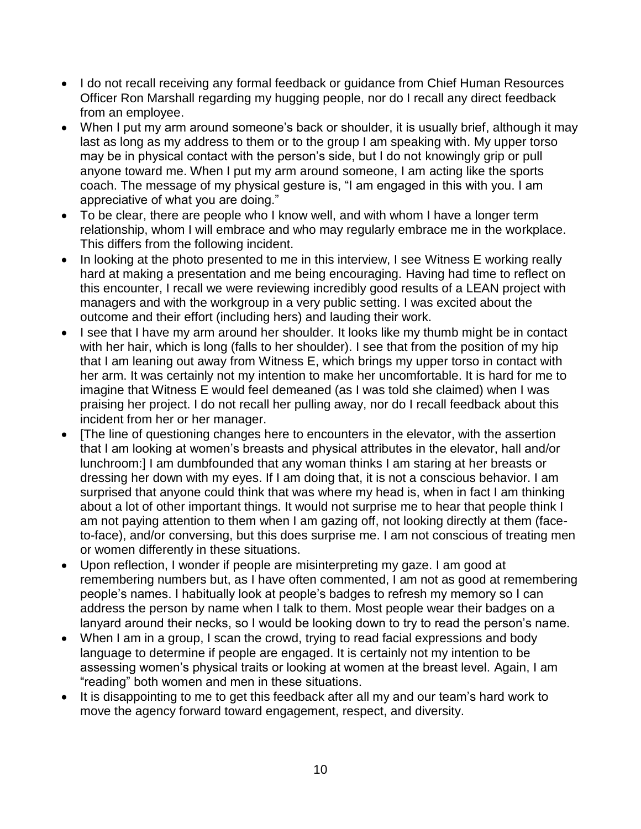- I do not recall receiving any formal feedback or guidance from Chief Human Resources Officer Ron Marshall regarding my hugging people, nor do I recall any direct feedback from an employee.
- When I put my arm around someone's back or shoulder, it is usually brief, although it may last as long as my address to them or to the group I am speaking with. My upper torso may be in physical contact with the person's side, but I do not knowingly grip or pull anyone toward me. When I put my arm around someone, I am acting like the sports coach. The message of my physical gesture is, "I am engaged in this with you. I am appreciative of what you are doing."
- To be clear, there are people who I know well, and with whom I have a longer term relationship, whom I will embrace and who may regularly embrace me in the workplace. This differs from the following incident.
- In looking at the photo presented to me in this interview, I see Witness E working really hard at making a presentation and me being encouraging. Having had time to reflect on this encounter, I recall we were reviewing incredibly good results of a LEAN project with managers and with the workgroup in a very public setting. I was excited about the outcome and their effort (including hers) and lauding their work.
- I see that I have my arm around her shoulder. It looks like my thumb might be in contact with her hair, which is long (falls to her shoulder). I see that from the position of my hip that I am leaning out away from Witness E, which brings my upper torso in contact with her arm. It was certainly not my intention to make her uncomfortable. It is hard for me to imagine that Witness E would feel demeaned (as I was told she claimed) when I was praising her project. I do not recall her pulling away, nor do I recall feedback about this incident from her or her manager.
- [The line of questioning changes here to encounters in the elevator, with the assertion that I am looking at women's breasts and physical attributes in the elevator, hall and/or lunchroom:] I am dumbfounded that any woman thinks I am staring at her breasts or dressing her down with my eyes. If I am doing that, it is not a conscious behavior. I am surprised that anyone could think that was where my head is, when in fact I am thinking about a lot of other important things. It would not surprise me to hear that people think I am not paying attention to them when I am gazing off, not looking directly at them (faceto-face), and/or conversing, but this does surprise me. I am not conscious of treating men or women differently in these situations.
- Upon reflection, I wonder if people are misinterpreting my gaze. I am good at remembering numbers but, as I have often commented, I am not as good at remembering people's names. I habitually look at people's badges to refresh my memory so I can address the person by name when I talk to them. Most people wear their badges on a lanyard around their necks, so I would be looking down to try to read the person's name.
- When I am in a group, I scan the crowd, trying to read facial expressions and body language to determine if people are engaged. It is certainly not my intention to be assessing women's physical traits or looking at women at the breast level. Again, I am "reading" both women and men in these situations.
- It is disappointing to me to get this feedback after all my and our team's hard work to move the agency forward toward engagement, respect, and diversity.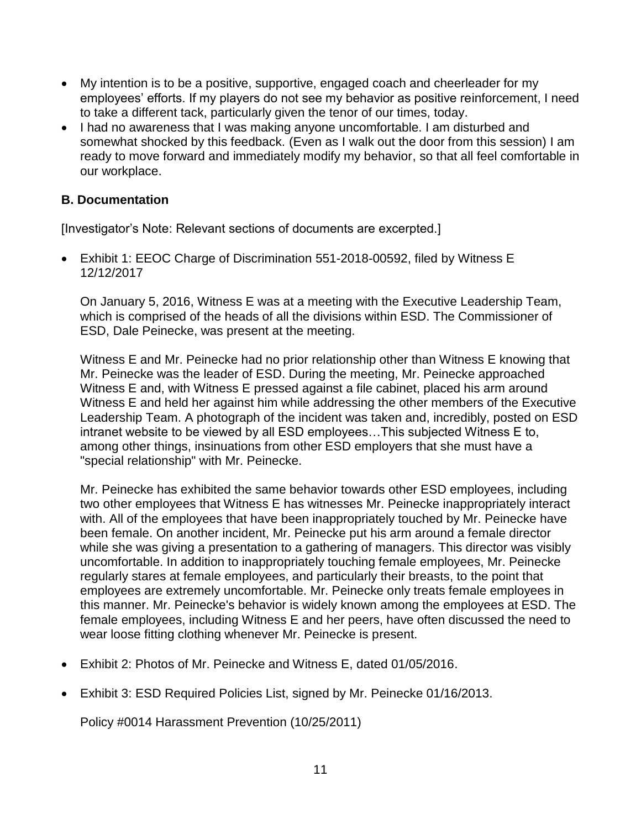- My intention is to be a positive, supportive, engaged coach and cheerleader for my employees' efforts. If my players do not see my behavior as positive reinforcement, I need to take a different tack, particularly given the tenor of our times, today.
- I had no awareness that I was making anyone uncomfortable. I am disturbed and somewhat shocked by this feedback. (Even as I walk out the door from this session) I am ready to move forward and immediately modify my behavior, so that all feel comfortable in our workplace.

#### **B. Documentation**

[Investigator's Note: Relevant sections of documents are excerpted.]

 Exhibit 1: EEOC Charge of Discrimination 551-2018-00592, filed by Witness E 12/12/2017

On January 5, 2016, Witness E was at a meeting with the Executive Leadership Team, which is comprised of the heads of all the divisions within ESD. The Commissioner of ESD, Dale Peinecke, was present at the meeting.

Witness E and Mr. Peinecke had no prior relationship other than Witness E knowing that Mr. Peinecke was the leader of ESD. During the meeting, Mr. Peinecke approached Witness E and, with Witness E pressed against a file cabinet, placed his arm around Witness E and held her against him while addressing the other members of the Executive Leadership Team. A photograph of the incident was taken and, incredibly, posted on ESD intranet website to be viewed by all ESD employees…This subjected Witness E to, among other things, insinuations from other ESD employers that she must have a "special relationship" with Mr. Peinecke.

Mr. Peinecke has exhibited the same behavior towards other ESD employees, including two other employees that Witness E has witnesses Mr. Peinecke inappropriately interact with. All of the employees that have been inappropriately touched by Mr. Peinecke have been female. On another incident, Mr. Peinecke put his arm around a female director while she was giving a presentation to a gathering of managers. This director was visibly uncomfortable. In addition to inappropriately touching female employees, Mr. Peinecke regularly stares at female employees, and particularly their breasts, to the point that employees are extremely uncomfortable. Mr. Peinecke only treats female employees in this manner. Mr. Peinecke's behavior is widely known among the employees at ESD. The female employees, including Witness E and her peers, have often discussed the need to wear loose fitting clothing whenever Mr. Peinecke is present.

- Exhibit 2: Photos of Mr. Peinecke and Witness E, dated 01/05/2016.
- Exhibit 3: ESD Required Policies List, signed by Mr. Peinecke 01/16/2013.

Policy #0014 Harassment Prevention (10/25/2011)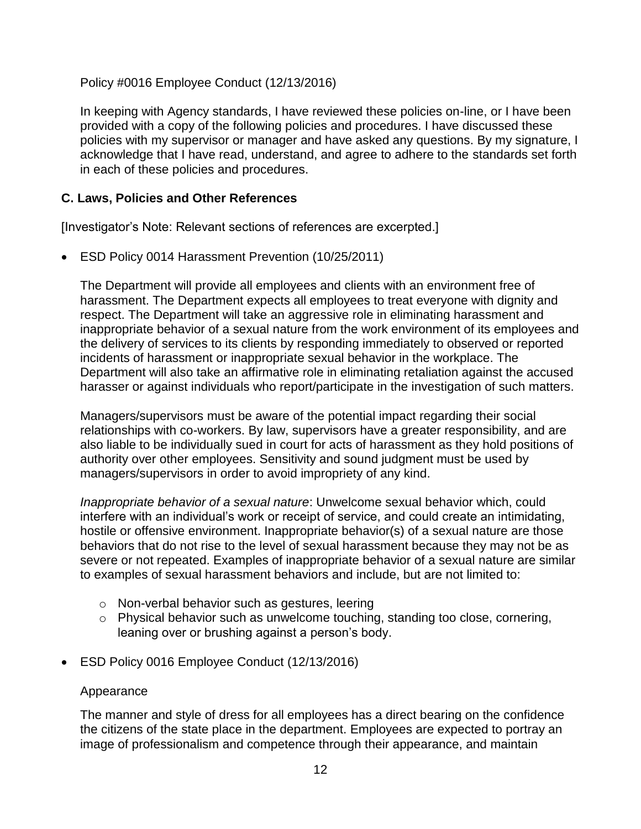Policy #0016 Employee Conduct (12/13/2016)

In keeping with Agency standards, I have reviewed these policies on-line, or I have been provided with a copy of the following policies and procedures. I have discussed these policies with my supervisor or manager and have asked any questions. By my signature, I acknowledge that I have read, understand, and agree to adhere to the standards set forth in each of these policies and procedures.

### **C. Laws, Policies and Other References**

[Investigator's Note: Relevant sections of references are excerpted.]

ESD Policy 0014 Harassment Prevention (10/25/2011)

The Department will provide all employees and clients with an environment free of harassment. The Department expects all employees to treat everyone with dignity and respect. The Department will take an aggressive role in eliminating harassment and inappropriate behavior of a sexual nature from the work environment of its employees and the delivery of services to its clients by responding immediately to observed or reported incidents of harassment or inappropriate sexual behavior in the workplace. The Department will also take an affirmative role in eliminating retaliation against the accused harasser or against individuals who report/participate in the investigation of such matters.

Managers/supervisors must be aware of the potential impact regarding their social relationships with co-workers. By law, supervisors have a greater responsibility, and are also liable to be individually sued in court for acts of harassment as they hold positions of authority over other employees. Sensitivity and sound judgment must be used by managers/supervisors in order to avoid impropriety of any kind.

*Inappropriate behavior of a sexual nature*: Unwelcome sexual behavior which, could interfere with an individual's work or receipt of service, and could create an intimidating, hostile or offensive environment. Inappropriate behavior(s) of a sexual nature are those behaviors that do not rise to the level of sexual harassment because they may not be as severe or not repeated. Examples of inappropriate behavior of a sexual nature are similar to examples of sexual harassment behaviors and include, but are not limited to:

- o Non-verbal behavior such as gestures, leering
- o Physical behavior such as unwelcome touching, standing too close, cornering, leaning over or brushing against a person's body.
- ESD Policy 0016 Employee Conduct (12/13/2016)

#### Appearance

The manner and style of dress for all employees has a direct bearing on the confidence the citizens of the state place in the department. Employees are expected to portray an image of professionalism and competence through their appearance, and maintain